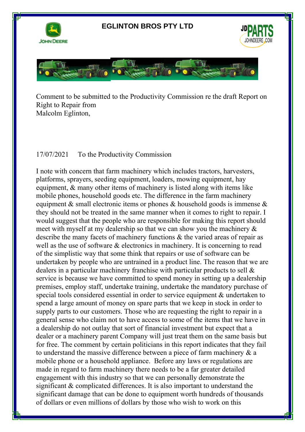

Comment to be submitted to the Productivity Commission re the draft Report on Right to Repair from Malcolm Eglinton,

## 17/07/2021 To the Productivity Commission

ww.deere.com

I note with concern that farm machinery which includes tractors, harvesters, platforms, sprayers, seeding equipment, loaders, mowing equipment, hay equipment, & many other items of machinery is listed along with items like mobile phones, household goods etc. The difference in the farm machinery equipment & small electronic items or phones & household goods is immense & they should not be treated in the same manner when it comes to right to repair. I would suggest that the people who are responsible for making this report should meet with myself at my dealership so that we can show you the machinery & describe the many facets of machinery functions & the varied areas of repair as well as the use of software & electronics in machinery. It is concerning to read of the simplistic way that some think that repairs or use of software can be undertaken by people who are untrained in a product line. The reason that we are dealers in a particular machinery franchise with particular products to sell & service is because we have committed to spend money in setting up a dealership premises, employ staff, undertake training, undertake the mandatory purchase of special tools considered essential in order to service equipment & undertaken to spend a large amount of money on spare parts that we keep in stock in order to supply parts to our customers. Those who are requesting the right to repair in a general sense who claim not to have access to some of the items that we have in a dealership do not outlay that sort of financial investment but expect that a dealer or a machinery parent Company will just treat them on the same basis but for free. The comment by certain politicians in this report indicates that they fail to understand the massive difference between a piece of farm machinery & a mobile phone or a household appliance. Before any laws or regulations are made in regard to farm machinery there needs to be a far greater detailed engagement with this industry so that we can personally demonstrate the significant & complicated differences. It is also important to understand the significant damage that can be done to equipment worth hundreds of thousands of dollars or even millions of dollars by those who wish to work on this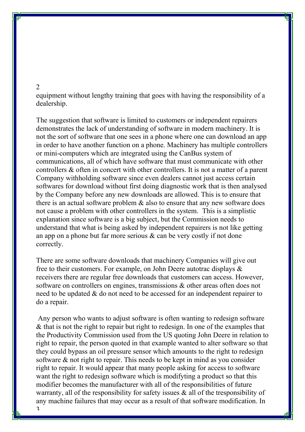## 2

equipment without lengthy training that goes with having the responsibility of a dealership.

The suggestion that software is limited to customers or independent repairers demonstrates the lack of understanding of software in modern machinery. It is not the sort of software that one sees in a phone where one can download an app in order to have another function on a phone. Machinery has multiple controllers or mini-computers which are integrated using the CanBus system of communications, all of which have software that must communicate with other controllers & often in concert with other controllers. It is not a matter of a parent Company withholding software since even dealers cannot just access certain softwares for download without first doing diagnostic work that is then analysed by the Company before any new downloads are allowed. This is to ensure that there is an actual software problem & also to ensure that any new software does not cause a problem with other controllers in the system. This is a simplistic explanation since software is a big subject, but the Commission needs to understand that what is being asked by independent repairers is not like getting an app on a phone but far more serious & can be very costly if not done correctly.

There are some software downloads that machinery Companies will give out free to their customers. For example, on John Deere autotrac displays & receivers there are regular free downloads that customers can access. However, software on controllers on engines, transmissions & other areas often does not need to be updated & do not need to be accessed for an independent repairer to do a repair.

Any person who wants to adjust software is often wanting to redesign software & that is not the right to repair but right to redesign. In one of the examples that the Productivity Commission used from the US quoting John Deere in relation to right to repair, the person quoted in that example wanted to alter software so that they could bypass an oil pressure sensor which amounts to the right to redesign software & not right to repair. This needs to be kept in mind as you consider right to repair. It would appear that many people asking for access to software want the right to redesign software which is modifyting a product so that this modifier becomes the manufacturer with all of the responsibilities of future warranty, all of the responsibility for safety issues & all of the tresponsibility of any machine failures that may occur as a result of that software modification. In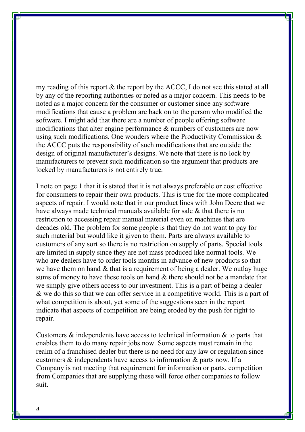my reading of this report & the report by the ACCC, I do not see this stated at all by any of the reporting authorities or noted as a major concern. This needs to be noted as a major concern for the consumer or customer since any software modifications that cause a problem are back on to the person who modified the software. I might add that there are a number of people offering software modifications that alter engine performance & numbers of customers are now using such modifications. One wonders where the Productivity Commission & the ACCC puts the responsibility of such modifications that are outside the design of original manufacturer's designs. We note that there is no lock by manufacturers to prevent such modification so the argument that products are locked by manufacturers is not entirely true.

I note on page 1 that it is stated that it is not always preferable or cost effective for consumers to repair their own products. This is true for the more complicated aspects of repair. I would note that in our product lines with John Deere that we have always made technical manuals available for sale & that there is no restriction to accessing repair manual material even on machines that are decades old. The problem for some people is that they do not want to pay for such material but would like it given to them. Parts are always available to customers of any sort so there is no restriction on supply of parts. Special tools are limited in supply since they are not mass produced like normal tools. We who are dealers have to order tools months in advance of new products so that we have them on hand  $&$  that is a requirement of being a dealer. We outlay huge sums of money to have these tools on hand & there should not be a mandate that we simply give others access to our investment. This is a part of being a dealer & we do this so that we can offer service in a competitive world. This is a part of what competition is about, yet some of the suggestions seen in the report indicate that aspects of competition are being eroded by the push for right to repair.

Customers & independents have access to technical information & to parts that enables them to do many repair jobs now. Some aspects must remain in the realm of a franchised dealer but there is no need for any law or regulation since customers & independents have access to information & parts now. If a Company is not meeting that requirement for information or parts, competition from Companies that are supplying these will force other companies to follow suit.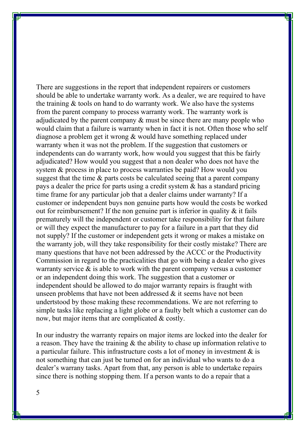There are suggestions in the report that independent repairers or customers should be able to undertake warranty work. As a dealer, we are required to have the training & tools on hand to do warranty work. We also have the systems from the parent company to process warranty work. The warranty work is adjudicated by the parent company & must be since there are many people who would claim that a failure is warranty when in fact it is not. Often those who self diagnose a problem get it wrong & would have something replaced under warranty when it was not the problem. If the suggestion that customers or independents can do warranty work, how would you suggest that this be fairly adjudicated? How would you suggest that a non dealer who does not have the system & process in place to process warranties be paid? How would you suggest that the time & parts costs be calculated seeing that a parent company pays a dealer the price for parts using a credit system & has a standard pricing time frame for any particular job that a dealer claims under warranty? If a customer or independent buys non genuine parts how would the costs be worked out for reimbursement? If the non genuine part is inferior in quality & it fails prematurely will the independent or customer take responsibility for that failure or will they expect the manufacturer to pay for a failure in a part that they did not supply? If the customer or independent gets it wrong or makes a mistake on the warranty job, will they take responsibility for their costly mistake? There are many questions that have not been addressed by the ACCC or the Productivity Commission in regard to the practicalities that go with being a dealer who gives warranty service  $\&$  is able to work with the parent company versus a customer or an independent doing this work. The suggestion that a customer or independent should be allowed to do major warranty repairs is fraught with unseen problems that have not been addressed  $\&$  it seems have not been undertstood by those making these recommendations. We are not referring to simple tasks like replacing a light globe or a faulty belt which a customer can do now, but major items that are complicated & costly.

In our industry the warranty repairs on major items are locked into the dealer for a reason. They have the training & the ability to chase up information relative to a particular failure. This infrastructure costs a lot of money in investment  $\&$  is not something that can just be turned on for an individual who wants to do a dealer's warrany tasks. Apart from that, any person is able to undertake repairs since there is nothing stopping them. If a person wants to do a repair that a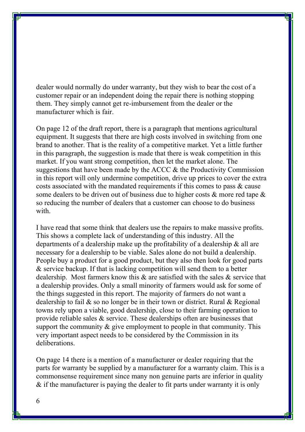dealer would normally do under warranty, but they wish to bear the cost of a customer repair or an independent doing the repair there is nothing stopping them. They simply cannot get re-imbursement from the dealer or the manufacturer which is fair.

On page 12 of the draft report, there is a paragraph that mentions agricultural equipment. It suggests that there are high costs involved in switching from one brand to another. That is the reality of a competitive market. Yet a little further in this paragraph, the suggestion is made that there is weak competition in this market. If you want strong competition, then let the market alone. The suggestions that have been made by the ACCC & the Productivity Commission in this report will only undermine competition, drive up prices to cover the extra costs associated with the mandated requirements if this comes to pass & cause some dealers to be driven out of business due to higher costs & more red tape & so reducing the number of dealers that a customer can choose to do business with.

I have read that some think that dealers use the repairs to make massive profits. This shows a complete lack of understanding of this industry. All the departments of a dealership make up the profitability of a dealership & all are necessary for a dealership to be viable. Sales alone do not build a dealership. People buy a product for a good product, but they also then look for good parts & service backup. If that is lacking competition will send them to a better dealership. Most farmers know this & are satisfied with the sales & service that a dealership provides. Only a small minority of farmers would ask for some of the things suggested in this report. The majority of farmers do not want a dealership to fail & so no longer be in their town or district. Rural & Regional towns rely upon a viable, good dealership, close to their farming operation to provide reliable sales & service. These dealerships often are businesses that support the community  $\&$  give employment to people in that community. This very important aspect needs to be considered by the Commission in its deliberations.

On page 14 there is a mention of a manufacturer or dealer requiring that the parts for warranty be supplied by a manufacturer for a warranty claim. This is a commonsense requirement since many non genuine parts are inferior in quality & if the manufacturer is paying the dealer to fit parts under warranty it is only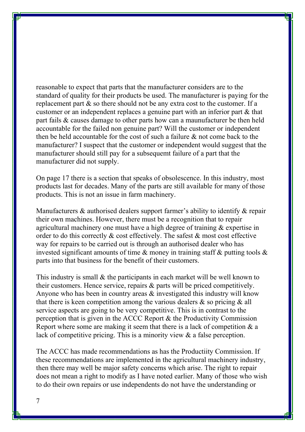reasonable to expect that parts that the manufacturer considers are to the standard of quality for their products be used. The manufacturer is paying for the replacement part & so there should not be any extra cost to the customer. If a customer or an independent replaces a genuine part with an inferior part & that part fails & causes damage to other parts how can a maunufacturer be then held accountable for the failed non genuine part? Will the customer or independent then be held accountable for the cost of such a failure & not come back to the manufacturer? I suspect that the customer or independent would suggest that the manufacturer should still pay for a subsequemt failure of a part that the manufacturer did not supply.

On page 17 there is a section that speaks of obsolescence. In this industry, most products last for decades. Many of the parts are still available for many of those products. This is not an issue in farm machinery.

Manufacturers & authorised dealers support farmer's ability to identify & repair their own machines. However, there must be a recognition that to repair agricultural machinery one must have a high degree of training & expertise in order to do this correctly & cost effectively. The safest & most cost effective way for repairs to be carried out is through an authorised dealer who has invested significant amounts of time & money in training staff & putting tools & parts into that business for the benefit of their customers.

This industry is small & the participants in each market will be well known to their customers. Hence service, repairs & parts will be priced competitively. Anyone who has been in country areas & investigated this industry will know that there is keen competition among the various dealers & so pricing & all service aspects are going to be very competitive. This is in contrast to the perception that is given in the ACCC Report & the Productivity Commission Report where some are making it seem that there is a lack of competition  $\&$  a lack of competitive pricing. This is a minority view & a false perception.

The ACCC has made recommendations as has the Productiity Commission. If these recommendations are implemented in the agricultural machinery industry, then there may well be major safety concerns which arise. The right to repair does not mean a right to modify as I have noted earlier. Many of those who wish to do their own repairs or use independents do not have the understanding or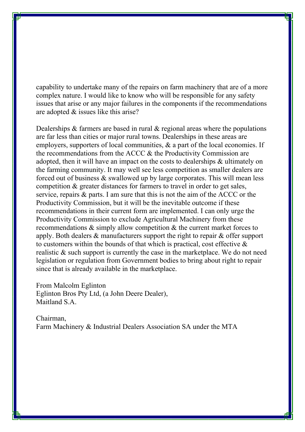capability to undertake many of the repairs on farm machinery that are of a more complex nature. I would like to know who will be responsible for any safety issues that arise or any major failures in the components if the recommendations are adopted & issues like this arise?

Dealerships & farmers are based in rural & regional areas where the populations are far less than cities or major rural towns. Dealerships in these areas are employers, supporters of local communities, & a part of the local economies. If the recommendations from the ACCC & the Productivity Commission are adopted, then it will have an impact on the costs to dealerships & ultimately on the farming community. It may well see less competition as smaller dealers are forced out of business & swallowed up by large corporates. This will mean less competition & greater distances for farmers to travel in order to get sales, service, repairs & parts. I am sure that this is not the aim of the ACCC or the Productivity Commission, but it will be the inevitable outcome if these recommendations in their current form are implemented. I can only urge the Productivity Commission to exclude Agricultural Machinery from these recommendations & simply allow competition & the current market forces to apply. Both dealers & manufacturers support the right to repair & offer support to customers within the bounds of that which is practical, cost effective & realistic & such support is currently the case in the marketplace. We do not need legislation or regulation from Government bodies to bring about right to repair since that is already available in the marketplace.

From Malcolm Eglinton Eglinton Bros Pty Ltd, (a John Deere Dealer), Maitland S.A.

Chairman, Farm Machinery & Industrial Dealers Association SA under the MTA